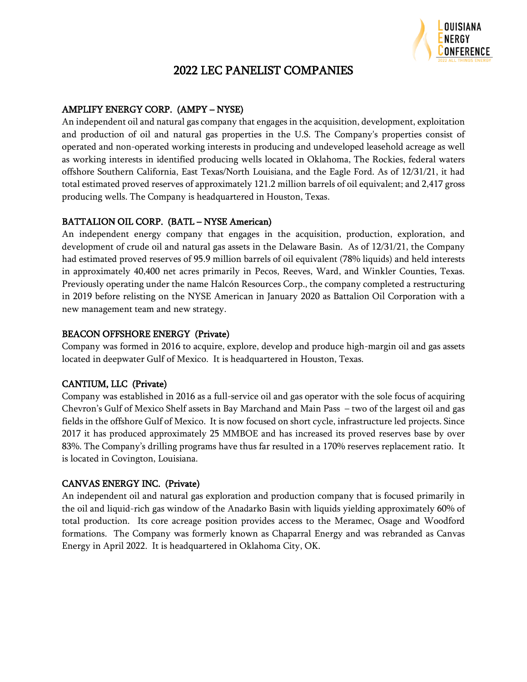

# 2022 LEC PANELIST COMPANIES

# AMPLIFY ENERGY CORP. (AMPY – NYSE)

An independent oil and natural gas company that engages in the acquisition, development, exploitation and production of oil and natural gas properties in the U.S. The Company's properties consist of operated and non-operated working interests in producing and undeveloped leasehold acreage as well as working interests in identified producing wells located in Oklahoma, The Rockies, federal waters offshore Southern California, East Texas/North Louisiana, and the Eagle Ford. As of 12/31/21, it had total estimated proved reserves of approximately 121.2 million barrels of oil equivalent; and 2,417 gross producing wells. The Company is headquartered in Houston, Texas.

#### BATTALION OIL CORP. (BATL – NYSE American)

An independent energy company that engages in the acquisition, production, exploration, and development of crude oil and natural gas assets in the Delaware Basin. As of 12/31/21, the Company had estimated proved reserves of 95.9 million barrels of oil equivalent (78% liquids) and held interests in approximately 40,400 net acres primarily in Pecos, Reeves, Ward, and Winkler Counties, Texas. Previously operating under the name Halcón Resources Corp., the company completed a restructuring in 2019 before relisting on the NYSE American in January 2020 as Battalion Oil Corporation with a new management team and new strategy.

#### BEACON OFFSHORE ENERGY (Private)

Company was formed in 2016 to acquire, explore, develop and produce high-margin oil and gas assets located in deepwater Gulf of Mexico. It is headquartered in Houston, Texas.

# CANTIUM, LLC (Private)

Company was established in 2016 as a full-service oil and gas operator with the sole focus of acquiring Chevron's Gulf of Mexico Shelf assets in Bay Marchand and Main Pass – two of the largest oil and gas fields in the offshore Gulf of Mexico. It is now focused on short cycle, infrastructure led projects. Since 2017 it has produced approximately 25 MMBOE and has increased its proved reserves base by over 83%. The Company's drilling programs have thus far resulted in a 170% reserves replacement ratio. It is located in Covington, Louisiana.

# CANVAS ENERGY INC. (Private)

An independent oil and natural gas exploration and production company that is focused primarily in the oil and liquid-rich gas window of the Anadarko Basin with liquids yielding approximately 60% of total production. Its core acreage position provides access to the Meramec, Osage and Woodford formations. The Company was formerly known as Chaparral Energy and was rebranded as Canvas Energy in April 2022. It is headquartered in Oklahoma City, OK.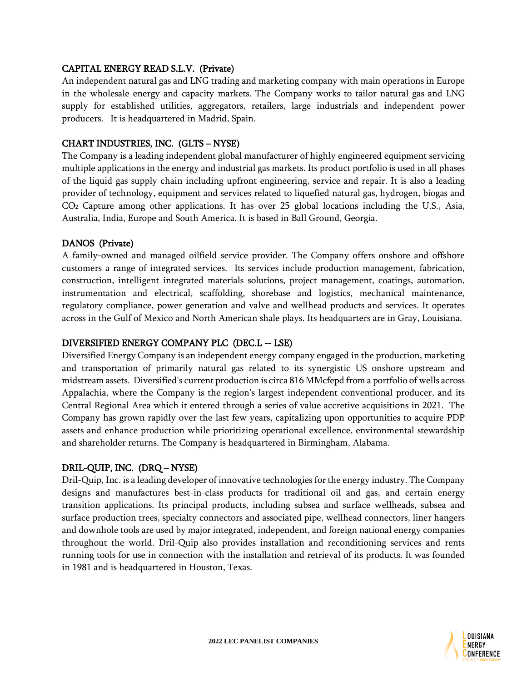#### CAPITAL ENERGY READ S.L.V. (Private)

An independent natural gas and LNG trading and marketing company with main operations in Europe in the wholesale energy and capacity markets. The Company works to tailor natural gas and LNG supply for established utilities, aggregators, retailers, large industrials and independent power producers. It is headquartered in Madrid, Spain.

#### CHART INDUSTRIES, INC. (GLTS – NYSE)

The Company is a leading independent global manufacturer of highly engineered equipment servicing multiple applications in the energy and industrial gas markets. Its product portfolio is used in all phases of the liquid gas supply chain including upfront engineering, service and repair. It is also a leading provider of technology, equipment and services related to liquefied natural gas, hydrogen, biogas and CO<sup>2</sup> Capture among other applications. It has over 25 global locations including the U.S., Asia, Australia, India, Europe and South America. It is based in Ball Ground, Georgia.

#### DANOS (Private)

A family-owned and managed oilfield service provider. The Company offers onshore and offshore customers a range of integrated services. Its services include production management, fabrication, construction, intelligent integrated materials solutions, project management, coatings, automation, instrumentation and electrical, scaffolding, shorebase and logistics, mechanical maintenance, regulatory compliance, power generation and valve and wellhead products and services. It operates across in the Gulf of Mexico and North American shale plays. Its headquarters are in Gray, Louisiana.

#### DIVERSIFIED ENERGY COMPANY PLC (DEC.L -- LSE)

Diversified Energy Company is an independent energy company engaged in the production, marketing and transportation of primarily natural gas related to its synergistic US onshore upstream and midstream assets. Diversified's current production is circa 816 MMcfepd from a portfolio of wells across Appalachia, where the Company is the region's largest independent conventional producer, and its Central Regional Area which it entered through a series of value accretive acquisitions in 2021. The Company has grown rapidly over the last few years, capitalizing upon opportunities to acquire PDP assets and enhance production while prioritizing operational excellence, environmental stewardship and shareholder returns. The Company is headquartered in Birmingham, Alabama.

#### DRIL-QUIP, INC. (DRQ – NYSE)

Dril-Quip, Inc. is a leading developer of innovative technologies for the energy industry. The Company designs and manufactures best-in-class products for traditional oil and gas, and certain energy transition applications. Its principal products, including subsea and surface wellheads, subsea and surface production trees, specialty connectors and associated pipe, wellhead connectors, liner hangers and downhole tools are used by major integrated, independent, and foreign national energy companies throughout the world. Dril-Quip also provides installation and reconditioning services and rents running tools for use in connection with the installation and retrieval of its products. It was founded in 1981 and is headquartered in Houston, Texas.

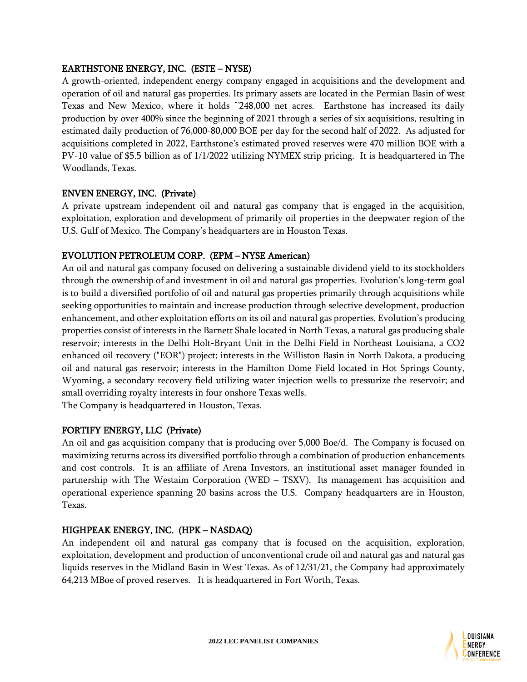#### EARTHSTONE ENERGY, INC. (ESTE – NYSE)

A growth-oriented, independent energy company engaged in acquisitions and the development and operation of oil and natural gas properties. Its primary assets are located in the Permian Basin of west Texas and New Mexico, where it holds ~248,000 net acres. Earthstone has increased its daily production by over 400% since the beginning of 2021 through a series of six acquisitions, resulting in estimated daily production of 76,000-80,000 BOE per day for the second half of 2022. As adjusted for acquisitions completed in 2022, Earthstone's estimated proved reserves were 470 million BOE with a PV-10 value of \$5.5 billion as of 1/1/2022 utilizing NYMEX strip pricing. It is headquartered in The Woodlands, Texas.

#### ENVEN ENERGY, INC. (Private)

A private upstream independent oil and natural gas company that is engaged in the acquisition, exploitation, exploration and development of primarily oil properties in the deepwater region of the U.S. Gulf of Mexico. The Company's headquarters are in Houston Texas.

#### EVOLUTION PETROLEUM CORP. (EPM – NYSE American)

An oil and natural gas company focused on delivering a sustainable dividend yield to its stockholders through the ownership of and investment in oil and natural gas properties. Evolution's long-term goal is to build a diversified portfolio of oil and natural gas properties primarily through acquisitions while seeking opportunities to maintain and increase production through selective development, production enhancement, and other exploitation efforts on its oil and natural gas properties. Evolution's producing properties consist of interests in the Barnett Shale located in North Texas, a natural gas producing shale reservoir; interests in the Delhi Holt-Bryant Unit in the Delhi Field in Northeast Louisiana, a CO2 enhanced oil recovery ("EOR") project; interests in the Williston Basin in North Dakota, a producing oil and natural gas reservoir; interests in the Hamilton Dome Field located in Hot Springs County, Wyoming, a secondary recovery field utilizing water injection wells to pressurize the reservoir; and small overriding royalty interests in four onshore Texas wells.

The Company is headquartered in Houston, Texas.

#### FORTIFY ENERGY, LLC (Private)

An oil and gas acquisition company that is producing over 5,000 Boe/d. The Company is focused on maximizing returns across its diversified portfolio through a combination of production enhancements and cost controls. It is an affiliate of Arena Investors, an institutional asset manager founded in partnership with The Westaim Corporation (WED – TSXV). Its management has acquisition and operational experience spanning 20 basins across the U.S. Company headquarters are in Houston, Texas.

# HIGHPEAK ENERGY, INC. (HPK – NASDAQ)

An independent oil and natural gas company that is focused on the acquisition, exploration, exploitation, development and production of unconventional crude oil and natural gas and natural gas liquids reserves in the Midland Basin in West Texas. As of 12/31/21, the Company had approximately 64,213 MBoe of proved reserves. It is headquartered in Fort Worth, Texas.

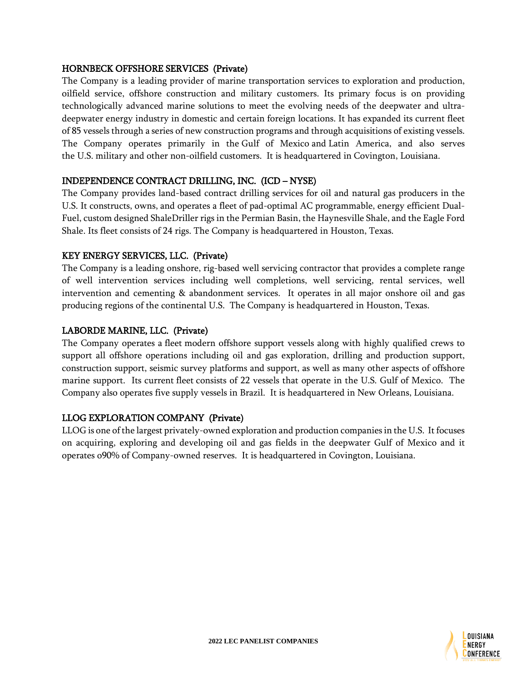#### HORNBECK OFFSHORE SERVICES (Private)

The Company is a leading provider of marine transportation services to exploration and production, oilfield service, offshore construction and military customers. Its primary focus is on providing technologically advanced marine solutions to meet the evolving needs of the deepwater and ultradeepwater energy industry in domestic and certain foreign locations. It has expanded its current fleet of 85 vessels through a series of new construction programs and through acquisitions of existing vessels. The Company operates primarily in the Gulf of Mexico and Latin America, and also serves the U.S. military and other non-oilfield customers. It is headquartered in Covington, Louisiana.

#### INDEPENDENCE CONTRACT DRILLING, INC. (ICD – NYSE)

The Company provides land-based contract drilling services for oil and natural gas producers in the U.S. It constructs, owns, and operates a fleet of pad-optimal AC programmable, energy efficient Dual-Fuel, custom designed ShaleDriller rigs in the Permian Basin, the Haynesville Shale, and the Eagle Ford Shale. Its fleet consists of 24 rigs. The Company is headquartered in Houston, Texas.

#### KEY ENERGY SERVICES, LLC. (Private)

The Company is a leading onshore, rig-based well servicing contractor that provides a complete range of well intervention services including well completions, well servicing, rental services, well intervention and cementing & abandonment services. It operates in all major onshore oil and gas producing regions of the continental U.S. The Company is headquartered in Houston, Texas.

#### LABORDE MARINE, LLC. (Private)

The Company operates a fleet modern offshore support vessels along with highly qualified crews to support all offshore operations including oil and gas exploration, drilling and production support, construction support, seismic survey platforms and support, as well as many other aspects of offshore marine support. Its current fleet consists of 22 vessels that operate in the U.S. Gulf of Mexico. The Company also operates five supply vessels in Brazil. It is headquartered in New Orleans, Louisiana.

#### LLOG EXPLORATION COMPANY (Private)

LLOG is one of the largest privately-owned exploration and production companies in the U.S. It focuses on acquiring, exploring and developing oil and gas fields in the deepwater Gulf of Mexico and it operates o90% of Company-owned reserves. It is headquartered in Covington, Louisiana.

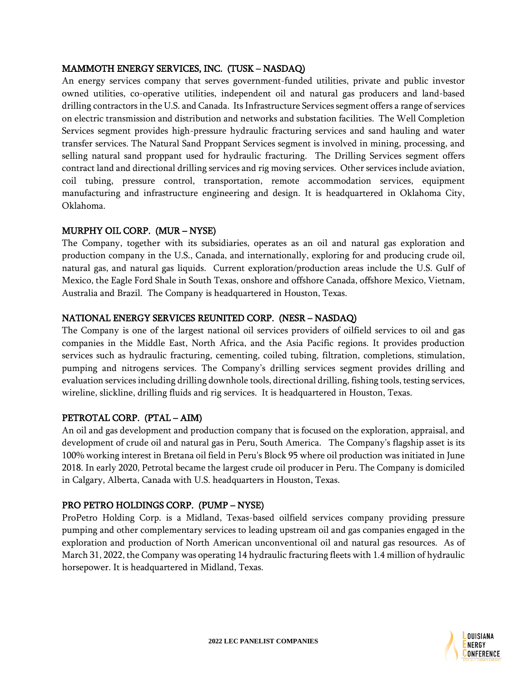#### MAMMOTH ENERGY SERVICES, INC. (TUSK – NASDAQ)

An energy services company that serves government-funded utilities, private and public investor owned utilities, co-operative utilities, independent oil and natural gas producers and land-based drilling contractors in the U.S. and Canada. Its Infrastructure Services segment offers a range of services on electric transmission and distribution and networks and substation facilities. The Well Completion Services segment provides high-pressure hydraulic fracturing services and sand hauling and water transfer services. The Natural Sand Proppant Services segment is involved in mining, processing, and selling natural sand proppant used for hydraulic fracturing. The Drilling Services segment offers contract land and directional drilling services and rig moving services. Other services include aviation, coil tubing, pressure control, transportation, remote accommodation services, equipment manufacturing and infrastructure engineering and design. It is headquartered in Oklahoma City, Oklahoma.

#### MURPHY OIL CORP. (MUR – NYSE)

The Company, together with its subsidiaries, operates as an oil and natural gas exploration and production company in the U.S., Canada, and internationally, exploring for and producing crude oil, natural gas, and natural gas liquids. Current exploration/production areas include the U.S. Gulf of Mexico, the Eagle Ford Shale in South Texas, onshore and offshore Canada, offshore Mexico, Vietnam, Australia and Brazil. The Company is headquartered in Houston, Texas.

#### NATIONAL ENERGY SERVICES REUNITED CORP. (NESR – NASDAQ)

The Company is one of the largest national oil services providers of oilfield services to oil and gas companies in the Middle East, North Africa, and the Asia Pacific regions. It provides production services such as hydraulic fracturing, cementing, coiled tubing, filtration, completions, stimulation, pumping and nitrogens services. The Company's drilling services segment provides drilling and evaluation services including drilling downhole tools, directional drilling, fishing tools, testing services, wireline, slickline, drilling fluids and rig services. It is headquartered in Houston, Texas.

# PETROTAL CORP. (PTAL – AIM)

An oil and gas development and production company that is focused on the exploration, appraisal, and development of crude oil and natural gas in Peru, South America. The Company's flagship asset is its 100% working interest in Bretana oil field in Peru's Block 95 where oil production was initiated in June 2018. In early 2020, Petrotal became the largest crude oil producer in Peru. The Company is domiciled in Calgary, Alberta, Canada with U.S. headquarters in Houston, Texas.

# PRO PETRO HOLDINGS CORP. (PUMP – NYSE)

ProPetro Holding Corp. is a Midland, Texas-based oilfield services company providing pressure pumping and other complementary services to leading upstream oil and gas companies engaged in the exploration and production of North American unconventional oil and natural gas resources. As of March 31, 2022, the Company was operating 14 hydraulic fracturing fleets with 1.4 million of hydraulic horsepower. It is headquartered in Midland, Texas.

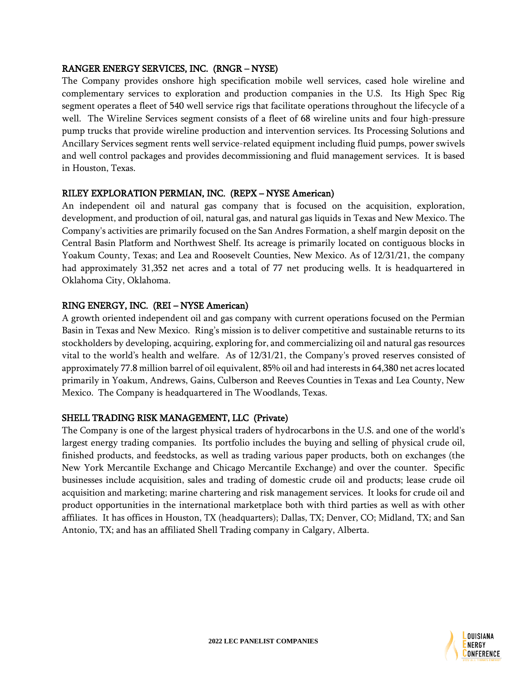#### RANGER ENERGY SERVICES, INC. (RNGR – NYSE)

The Company provides onshore high specification mobile well services, cased hole wireline and complementary services to exploration and production companies in the U.S. Its High Spec Rig segment operates a fleet of 540 well service rigs that facilitate operations throughout the lifecycle of a well. The Wireline Services segment consists of a fleet of 68 wireline units and four high-pressure pump trucks that provide wireline production and intervention services. Its Processing Solutions and Ancillary Services segment rents well service-related equipment including fluid pumps, power swivels and well control packages and provides decommissioning and fluid management services. It is based in Houston, Texas.

#### RILEY EXPLORATION PERMIAN, INC. (REPX – NYSE American)

An independent oil and natural gas company that is focused on the acquisition, exploration, development, and production of oil, natural gas, and natural gas liquids in Texas and New Mexico. The Company's activities are primarily focused on the San Andres Formation, a shelf margin deposit on the Central Basin Platform and Northwest Shelf. Its acreage is primarily located on contiguous blocks in Yoakum County, Texas; and Lea and Roosevelt Counties, New Mexico. As of 12/31/21, the company had approximately 31,352 net acres and a total of 77 net producing wells. It is headquartered in Oklahoma City, Oklahoma.

#### RING ENERGY, INC. (REI – NYSE American)

A growth oriented independent oil and gas company with current operations focused on the Permian Basin in Texas and New Mexico. Ring's mission is to deliver competitive and sustainable returns to its stockholders by developing, acquiring, exploring for, and commercializing oil and natural gas resources vital to the world's health and welfare. As of 12/31/21, the Company's proved reserves consisted of approximately 77.8 million barrel of oil equivalent, 85% oil and had interests in 64,380 net acres located primarily in Yoakum, Andrews, Gains, Culberson and Reeves Counties in Texas and Lea County, New Mexico. The Company is headquartered in The Woodlands, Texas.

#### SHELL TRADING RISK MANAGEMENT, LLC (Private)

The Company is one of the largest physical traders of hydrocarbons in the U.S. and one of the world's largest energy trading companies. Its portfolio includes the buying and selling of physical crude oil, finished products, and feedstocks, as well as trading various paper products, both on exchanges (the New York Mercantile Exchange and Chicago Mercantile Exchange) and over the counter. Specific businesses include acquisition, sales and trading of domestic crude oil and products; lease crude oil acquisition and marketing; marine chartering and risk management services. It looks for crude oil and product opportunities in the international marketplace both with third parties as well as with other affiliates. It has offices in Houston, TX (headquarters); Dallas, TX; Denver, CO; Midland, TX; and San Antonio, TX; and has an affiliated Shell Trading company in Calgary, Alberta.

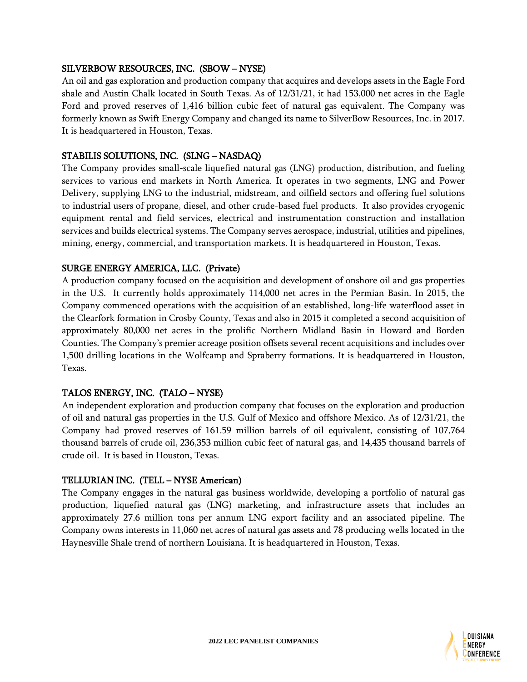#### SILVERBOW RESOURCES, INC. (SBOW – NYSE)

An oil and gas exploration and production company that acquires and develops assets in the Eagle Ford shale and Austin Chalk located in South Texas. As of 12/31/21, it had 153,000 net acres in the Eagle Ford and proved reserves of 1,416 billion cubic feet of natural gas equivalent. The Company was formerly known as Swift Energy Company and changed its name to SilverBow Resources, Inc. in 2017. It is headquartered in Houston, Texas.

#### STABILIS SOLUTIONS, INC. (SLNG – NASDAQ)

The Company provides small-scale liquefied natural gas (LNG) production, distribution, and fueling services to various end markets in North America. It operates in two segments, LNG and Power Delivery, supplying LNG to the industrial, midstream, and oilfield sectors and offering fuel solutions to industrial users of propane, diesel, and other crude-based fuel products. It also provides cryogenic equipment rental and field services, electrical and instrumentation construction and installation services and builds electrical systems. The Company serves aerospace, industrial, utilities and pipelines, mining, energy, commercial, and transportation markets. It is headquartered in Houston, Texas.

#### SURGE ENERGY AMERICA, LLC. (Private)

A production company focused on the acquisition and development of onshore oil and gas properties in the U.S. It currently holds approximately 114,000 net acres in the Permian Basin. In 2015, the Company commenced operations with the acquisition of an established, long-life waterflood asset in the Clearfork formation in Crosby County, Texas and also in 2015 it completed a second acquisition of approximately 80,000 net acres in the prolific Northern Midland Basin in Howard and Borden Counties. The Company's premier acreage position offsets several recent acquisitions and includes over 1,500 drilling locations in the Wolfcamp and Spraberry formations. It is headquartered in Houston, Texas.

#### TALOS ENERGY, INC. (TALO – NYSE)

An independent exploration and production company that focuses on the exploration and production of oil and natural gas properties in the U.S. Gulf of Mexico and offshore Mexico. As of 12/31/21, the Company had proved reserves of 161.59 million barrels of oil equivalent, consisting of 107,764 thousand barrels of crude oil, 236,353 million cubic feet of natural gas, and 14,435 thousand barrels of crude oil. It is based in Houston, Texas.

#### TELLURIAN INC. (TELL – NYSE American)

The Company engages in the natural gas business worldwide, developing a portfolio of natural gas production, liquefied natural gas (LNG) marketing, and infrastructure assets that includes an approximately 27.6 million tons per annum LNG export facility and an associated pipeline. The Company owns interests in 11,060 net acres of natural gas assets and 78 producing wells located in the Haynesville Shale trend of northern Louisiana. It is headquartered in Houston, Texas.